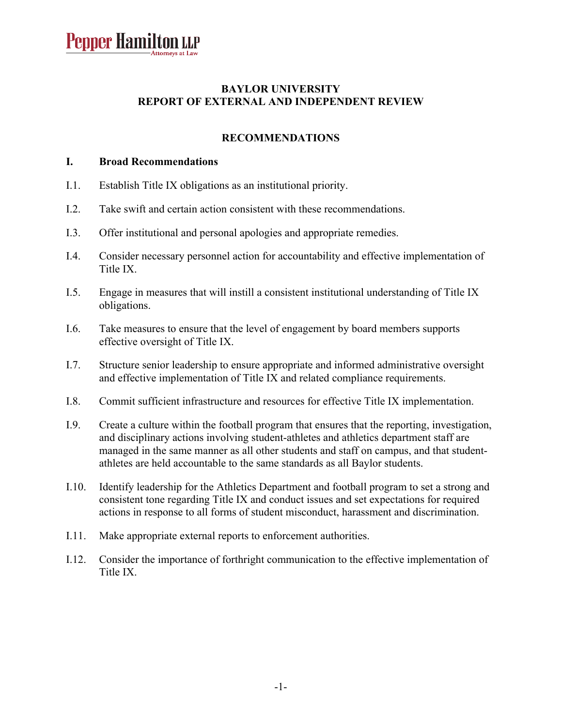#### **BAYLOR UNIVERSITY REPORT OF EXTERNAL AND INDEPENDENT REVIEW**

#### **RECOMMENDATIONS**

#### **I. Broad Recommendations**

- I.1. Establish Title IX obligations as an institutional priority.
- I.2. Take swift and certain action consistent with these recommendations.
- I.3. Offer institutional and personal apologies and appropriate remedies.
- I.4. Consider necessary personnel action for accountability and effective implementation of Title IX.
- I.5. Engage in measures that will instill a consistent institutional understanding of Title IX obligations.
- I.6. Take measures to ensure that the level of engagement by board members supports effective oversight of Title IX.
- I.7. Structure senior leadership to ensure appropriate and informed administrative oversight and effective implementation of Title IX and related compliance requirements.
- I.8. Commit sufficient infrastructure and resources for effective Title IX implementation.
- I.9. Create a culture within the football program that ensures that the reporting, investigation, and disciplinary actions involving student-athletes and athletics department staff are managed in the same manner as all other students and staff on campus, and that studentathletes are held accountable to the same standards as all Baylor students.
- I.10. Identify leadership for the Athletics Department and football program to set a strong and consistent tone regarding Title IX and conduct issues and set expectations for required actions in response to all forms of student misconduct, harassment and discrimination.
- I.11. Make appropriate external reports to enforcement authorities.
- I.12. Consider the importance of forthright communication to the effective implementation of Title IX.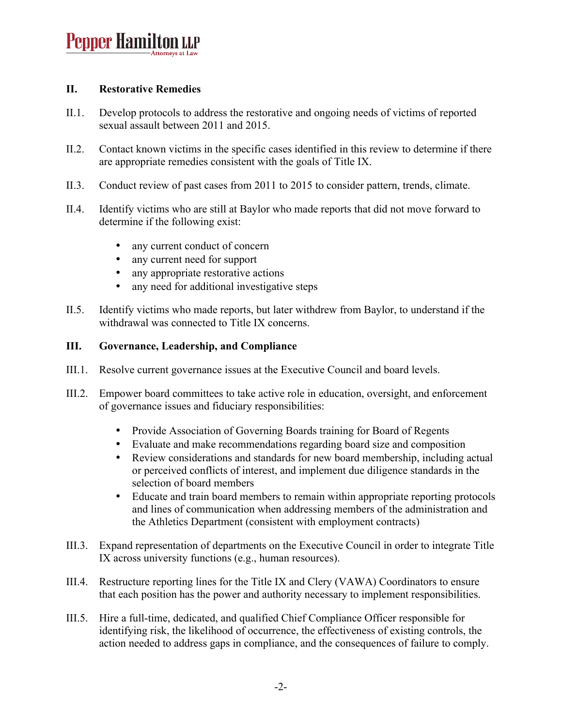#### **II. Restorative Remedies**

- II.1. Develop protocols to address the restorative and ongoing needs of victims of reported sexual assault between 2011 and 2015.
- II.2. Contact known victims in the specific cases identified in this review to determine if there are appropriate remedies consistent with the goals of Title IX.
- II.3. Conduct review of past cases from 2011 to 2015 to consider pattern, trends, climate.
- II.4. Identify victims who are still at Baylor who made reports that did not move forward to determine if the following exist:
	- any current conduct of concern
	- any current need for support<br>• any appropriate restorative ac
	- any appropriate restorative actions
	- any need for additional investigative steps
- II.5. Identify victims who made reports, but later withdrew from Baylor, to understand if the withdrawal was connected to Title IX concerns.

#### **III. Governance, Leadership, and Compliance**

- III.1. Resolve current governance issues at the Executive Council and board levels.
- III.2. Empower board committees to take active role in education, oversight, and enforcement of governance issues and fiduciary responsibilities:
	- Provide Association of Governing Boards training for Board of Regents
	- Evaluate and make recommendations regarding board size and composition
	- Review considerations and standards for new board membership, including actual or perceived conflicts of interest, and implement due diligence standards in the selection of board members
	- Educate and train board members to remain within appropriate reporting protocols and lines of communication when addressing members of the administration and the Athletics Department (consistent with employment contracts)
- III.3. Expand representation of departments on the Executive Council in order to integrate Title IX across university functions (e.g., human resources).
- III.4. Restructure reporting lines for the Title IX and Clery (VAWA) Coordinators to ensure that each position has the power and authority necessary to implement responsibilities.
- III.5. Hire a full-time, dedicated, and qualified Chief Compliance Officer responsible for identifying risk, the likelihood of occurrence, the effectiveness of existing controls, the action needed to address gaps in compliance, and the consequences of failure to comply.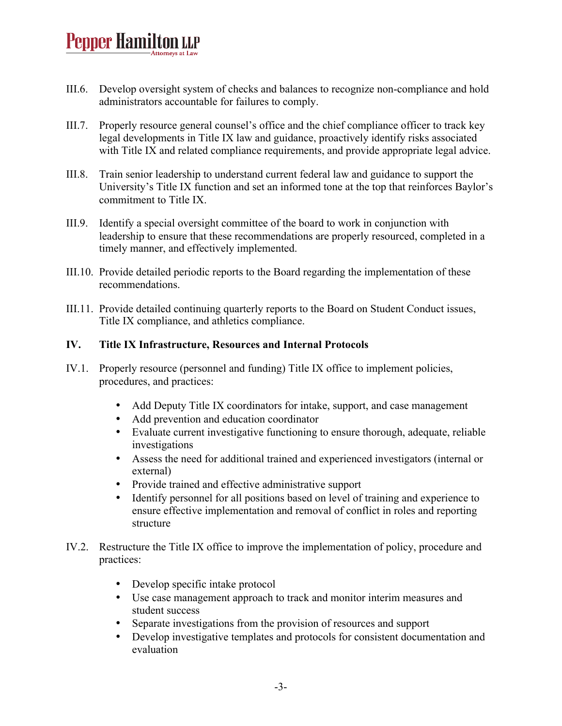- III.6. Develop oversight system of checks and balances to recognize non-compliance and hold administrators accountable for failures to comply.
- III.7. Properly resource general counsel's office and the chief compliance officer to track key legal developments in Title IX law and guidance, proactively identify risks associated with Title IX and related compliance requirements, and provide appropriate legal advice.
- III.8. Train senior leadership to understand current federal law and guidance to support the University's Title IX function and set an informed tone at the top that reinforces Baylor's commitment to Title IX.
- III.9. Identify a special oversight committee of the board to work in conjunction with leadership to ensure that these recommendations are properly resourced, completed in a timely manner, and effectively implemented.
- III.10. Provide detailed periodic reports to the Board regarding the implementation of these recommendations.
- III.11. Provide detailed continuing quarterly reports to the Board on Student Conduct issues, Title IX compliance, and athletics compliance.

#### **IV. Title IX Infrastructure, Resources and Internal Protocols**

- IV.1. Properly resource (personnel and funding) Title IX office to implement policies, procedures, and practices:
	- Add Deputy Title IX coordinators for intake, support, and case management
	- Add prevention and education coordinator
	- Evaluate current investigative functioning to ensure thorough, adequate, reliable investigations
	- Assess the need for additional trained and experienced investigators (internal or external)
	- Provide trained and effective administrative support
	- Identify personnel for all positions based on level of training and experience to ensure effective implementation and removal of conflict in roles and reporting structure
- IV.2. Restructure the Title IX office to improve the implementation of policy, procedure and practices:
	- Develop specific intake protocol
	- Use case management approach to track and monitor interim measures and student success
	- Separate investigations from the provision of resources and support
	- Develop investigative templates and protocols for consistent documentation and evaluation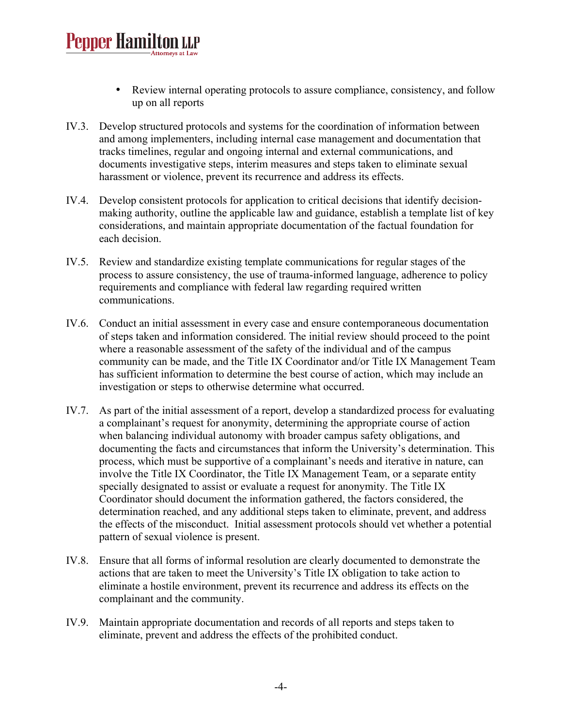- Review internal operating protocols to assure compliance, consistency, and follow up on all reports
- IV.3. Develop structured protocols and systems for the coordination of information between and among implementers, including internal case management and documentation that tracks timelines, regular and ongoing internal and external communications, and documents investigative steps, interim measures and steps taken to eliminate sexual harassment or violence, prevent its recurrence and address its effects.
- IV.4. Develop consistent protocols for application to critical decisions that identify decisionmaking authority, outline the applicable law and guidance, establish a template list of key considerations, and maintain appropriate documentation of the factual foundation for each decision.
- IV.5. Review and standardize existing template communications for regular stages of the process to assure consistency, the use of trauma-informed language, adherence to policy requirements and compliance with federal law regarding required written communications.
- IV.6. Conduct an initial assessment in every case and ensure contemporaneous documentation of steps taken and information considered. The initial review should proceed to the point where a reasonable assessment of the safety of the individual and of the campus community can be made, and the Title IX Coordinator and/or Title IX Management Team has sufficient information to determine the best course of action, which may include an investigation or steps to otherwise determine what occurred.
- IV.7. As part of the initial assessment of a report, develop a standardized process for evaluating a complainant's request for anonymity, determining the appropriate course of action when balancing individual autonomy with broader campus safety obligations, and documenting the facts and circumstances that inform the University's determination. This process, which must be supportive of a complainant's needs and iterative in nature, can involve the Title IX Coordinator, the Title IX Management Team, or a separate entity specially designated to assist or evaluate a request for anonymity. The Title IX Coordinator should document the information gathered, the factors considered, the determination reached, and any additional steps taken to eliminate, prevent, and address the effects of the misconduct. Initial assessment protocols should vet whether a potential pattern of sexual violence is present.
- IV.8. Ensure that all forms of informal resolution are clearly documented to demonstrate the actions that are taken to meet the University's Title IX obligation to take action to eliminate a hostile environment, prevent its recurrence and address its effects on the complainant and the community.
- IV.9. Maintain appropriate documentation and records of all reports and steps taken to eliminate, prevent and address the effects of the prohibited conduct.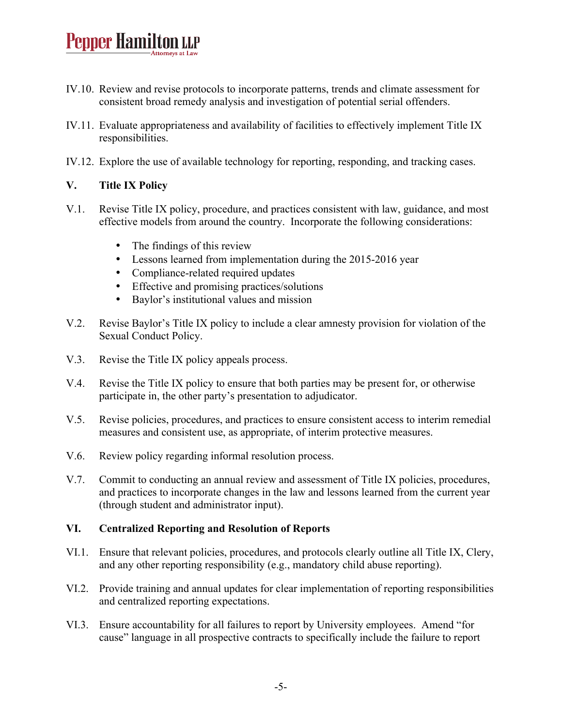- IV.10. Review and revise protocols to incorporate patterns, trends and climate assessment for consistent broad remedy analysis and investigation of potential serial offenders.
- IV.11. Evaluate appropriateness and availability of facilities to effectively implement Title IX responsibilities.
- IV.12. Explore the use of available technology for reporting, responding, and tracking cases.

#### **V. Title IX Policy**

- V.1. Revise Title IX policy, procedure, and practices consistent with law, guidance, and most effective models from around the country. Incorporate the following considerations:
	- The findings of this review
	- Lessons learned from implementation during the 2015-2016 year
	- Compliance-related required updates
	- Effective and promising practices/solutions
	- Baylor's institutional values and mission
- V.2. Revise Baylor's Title IX policy to include a clear amnesty provision for violation of the Sexual Conduct Policy.
- V.3. Revise the Title IX policy appeals process.
- V.4. Revise the Title IX policy to ensure that both parties may be present for, or otherwise participate in, the other party's presentation to adjudicator.
- V.5. Revise policies, procedures, and practices to ensure consistent access to interim remedial measures and consistent use, as appropriate, of interim protective measures.
- V.6. Review policy regarding informal resolution process.
- V.7. Commit to conducting an annual review and assessment of Title IX policies, procedures, and practices to incorporate changes in the law and lessons learned from the current year (through student and administrator input).

#### **VI. Centralized Reporting and Resolution of Reports**

- VI.1. Ensure that relevant policies, procedures, and protocols clearly outline all Title IX, Clery, and any other reporting responsibility (e.g., mandatory child abuse reporting).
- VI.2. Provide training and annual updates for clear implementation of reporting responsibilities and centralized reporting expectations.
- VI.3. Ensure accountability for all failures to report by University employees. Amend "for cause" language in all prospective contracts to specifically include the failure to report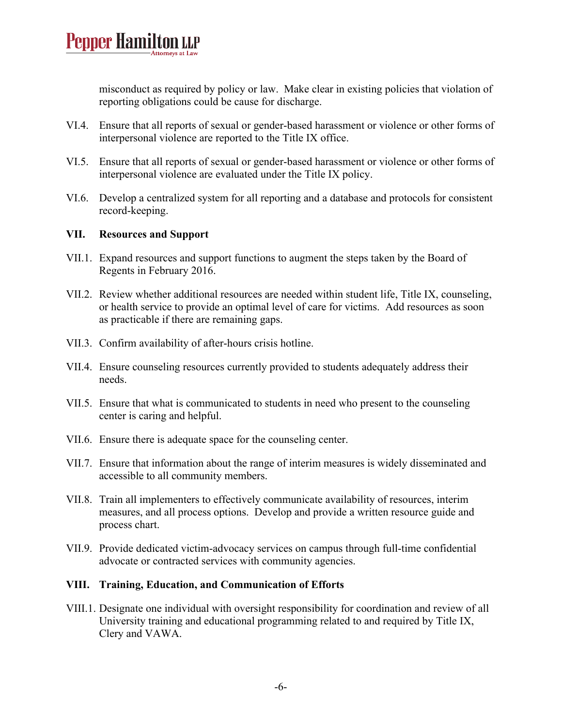misconduct as required by policy or law. Make clear in existing policies that violation of reporting obligations could be cause for discharge.

- VI.4. Ensure that all reports of sexual or gender-based harassment or violence or other forms of interpersonal violence are reported to the Title IX office.
- VI.5. Ensure that all reports of sexual or gender-based harassment or violence or other forms of interpersonal violence are evaluated under the Title IX policy.
- VI.6. Develop a centralized system for all reporting and a database and protocols for consistent record-keeping.

#### **VII. Resources and Support**

- VII.1. Expand resources and support functions to augment the steps taken by the Board of Regents in February 2016.
- VII.2. Review whether additional resources are needed within student life, Title IX, counseling, or health service to provide an optimal level of care for victims. Add resources as soon as practicable if there are remaining gaps.
- VII.3. Confirm availability of after-hours crisis hotline.
- VII.4. Ensure counseling resources currently provided to students adequately address their needs.
- VII.5. Ensure that what is communicated to students in need who present to the counseling center is caring and helpful.
- VII.6. Ensure there is adequate space for the counseling center.
- VII.7. Ensure that information about the range of interim measures is widely disseminated and accessible to all community members.
- VII.8. Train all implementers to effectively communicate availability of resources, interim measures, and all process options. Develop and provide a written resource guide and process chart.
- VII.9. Provide dedicated victim-advocacy services on campus through full-time confidential advocate or contracted services with community agencies.

#### **VIII. Training, Education, and Communication of Efforts**

VIII.1. Designate one individual with oversight responsibility for coordination and review of all University training and educational programming related to and required by Title IX, Clery and VAWA.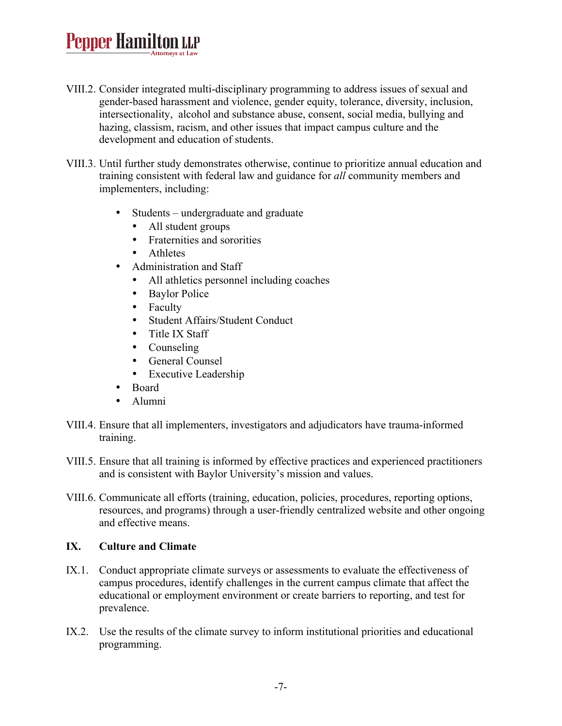- VIII.2. Consider integrated multi-disciplinary programming to address issues of sexual and gender-based harassment and violence, gender equity, tolerance, diversity, inclusion, intersectionality, alcohol and substance abuse, consent, social media, bullying and hazing, classism, racism, and other issues that impact campus culture and the development and education of students.
- VIII.3. Until further study demonstrates otherwise, continue to prioritize annual education and training consistent with federal law and guidance for *all* community members and implementers, including:
	- Students undergraduate and graduate
		- All student groups
		- Fraternities and sororities
		- Athletes
	- Administration and Staff
		- All athletics personnel including coaches
		- Baylor Police
		- Faculty
		- Student Affairs/Student Conduct
		- Title IX Staff
		- Counseling
		- General Counsel
		- Executive Leadership
	- Board
	- Alumni
- VIII.4. Ensure that all implementers, investigators and adjudicators have trauma-informed training.
- VIII.5. Ensure that all training is informed by effective practices and experienced practitioners and is consistent with Baylor University's mission and values.
- VIII.6. Communicate all efforts (training, education, policies, procedures, reporting options, resources, and programs) through a user-friendly centralized website and other ongoing and effective means.

#### **IX. Culture and Climate**

- IX.1. Conduct appropriate climate surveys or assessments to evaluate the effectiveness of campus procedures, identify challenges in the current campus climate that affect the educational or employment environment or create barriers to reporting, and test for prevalence.
- IX.2. Use the results of the climate survey to inform institutional priorities and educational programming.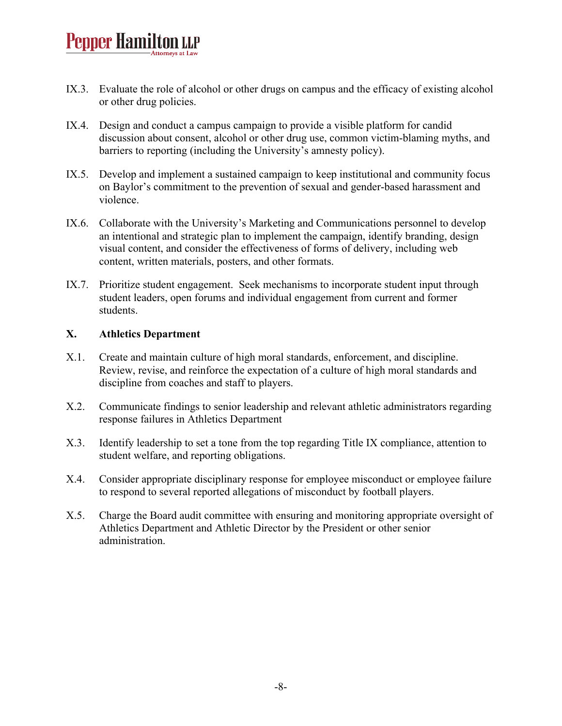- IX.3. Evaluate the role of alcohol or other drugs on campus and the efficacy of existing alcohol or other drug policies.
- IX.4. Design and conduct a campus campaign to provide a visible platform for candid discussion about consent, alcohol or other drug use, common victim-blaming myths, and barriers to reporting (including the University's amnesty policy).
- IX.5. Develop and implement a sustained campaign to keep institutional and community focus on Baylor's commitment to the prevention of sexual and gender-based harassment and violence.
- IX.6. Collaborate with the University's Marketing and Communications personnel to develop an intentional and strategic plan to implement the campaign, identify branding, design visual content, and consider the effectiveness of forms of delivery, including web content, written materials, posters, and other formats.
- IX.7. Prioritize student engagement. Seek mechanisms to incorporate student input through student leaders, open forums and individual engagement from current and former students.

#### **X. Athletics Department**

- X.1. Create and maintain culture of high moral standards, enforcement, and discipline. Review, revise, and reinforce the expectation of a culture of high moral standards and discipline from coaches and staff to players.
- X.2. Communicate findings to senior leadership and relevant athletic administrators regarding response failures in Athletics Department
- X.3. Identify leadership to set a tone from the top regarding Title IX compliance, attention to student welfare, and reporting obligations.
- X.4. Consider appropriate disciplinary response for employee misconduct or employee failure to respond to several reported allegations of misconduct by football players.
- X.5. Charge the Board audit committee with ensuring and monitoring appropriate oversight of Athletics Department and Athletic Director by the President or other senior administration.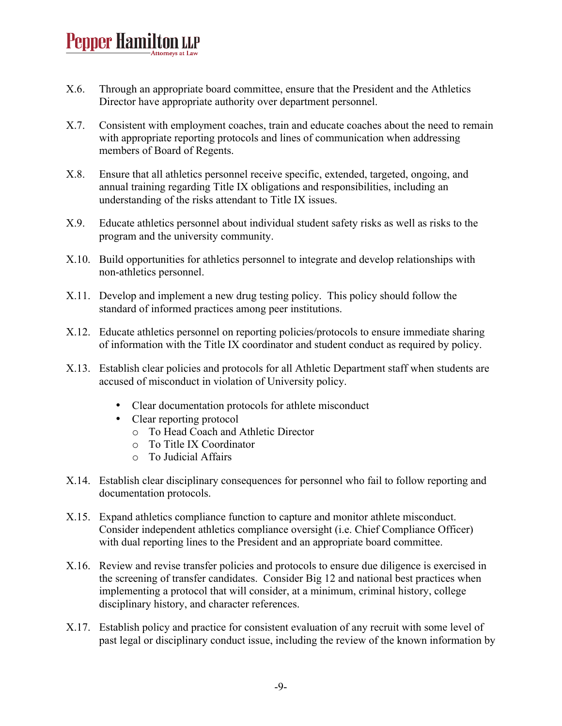- X.6. Through an appropriate board committee, ensure that the President and the Athletics Director have appropriate authority over department personnel.
- X.7. Consistent with employment coaches, train and educate coaches about the need to remain with appropriate reporting protocols and lines of communication when addressing members of Board of Regents.
- X.8. Ensure that all athletics personnel receive specific, extended, targeted, ongoing, and annual training regarding Title IX obligations and responsibilities, including an understanding of the risks attendant to Title IX issues.
- X.9. Educate athletics personnel about individual student safety risks as well as risks to the program and the university community.
- X.10. Build opportunities for athletics personnel to integrate and develop relationships with non-athletics personnel.
- X.11. Develop and implement a new drug testing policy. This policy should follow the standard of informed practices among peer institutions.
- X.12. Educate athletics personnel on reporting policies/protocols to ensure immediate sharing of information with the Title IX coordinator and student conduct as required by policy.
- X.13. Establish clear policies and protocols for all Athletic Department staff when students are accused of misconduct in violation of University policy.
	- Clear documentation protocols for athlete misconduct
	- Clear reporting protocol
		- o To Head Coach and Athletic Director
		- o To Title IX Coordinator
		- o To Judicial Affairs
- X.14. Establish clear disciplinary consequences for personnel who fail to follow reporting and documentation protocols.
- X.15. Expand athletics compliance function to capture and monitor athlete misconduct. Consider independent athletics compliance oversight (i.e. Chief Compliance Officer) with dual reporting lines to the President and an appropriate board committee.
- X.16. Review and revise transfer policies and protocols to ensure due diligence is exercised in the screening of transfer candidates. Consider Big 12 and national best practices when implementing a protocol that will consider, at a minimum, criminal history, college disciplinary history, and character references.
- X.17. Establish policy and practice for consistent evaluation of any recruit with some level of past legal or disciplinary conduct issue, including the review of the known information by